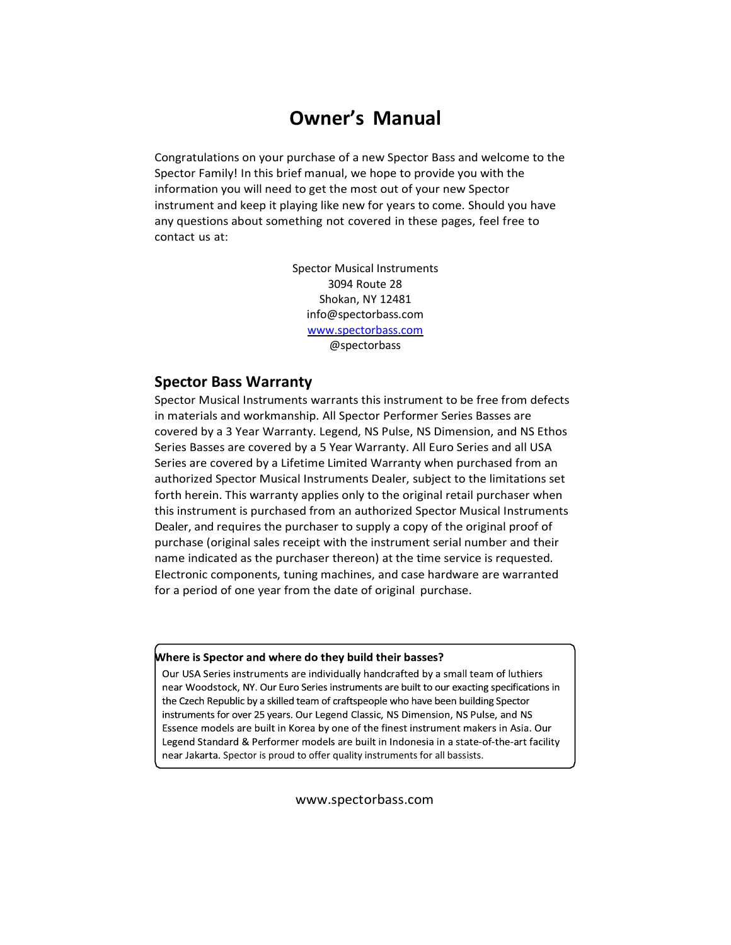# **Owner's Manual**

Congratulations on your purchase of a new Spector Bass and welcome to the Spector Family! In this brief manual, we hope to provide you with the information you will need to get the most out of your new Spector instrument and keep it playing like new for years to come. Should you have any questions about something not covered in these pages, feel free to contact us at:

> Spector Musical Instruments 3094 Route 28 Shokan, NY 12481 info@spectorbass.com [www.spectorbass.com](http://www.spectorbass.com/) @spectorbass

### **Spector Bass Warranty**

Spector Musical Instruments warrants this instrument to be free from defects in materials and workmanship. All Spector Performer Series Basses are covered by a 3 Year Warranty. Legend, NS Pulse, NS Dimension, and NS Ethos Series Basses are covered by a 5 Year Warranty. All Euro Series and all USA Series are covered by a Lifetime Limited Warranty when purchased from an authorized Spector Musical Instruments Dealer, subject to the limitations set forth herein. This warranty applies only to the original retail purchaser when this instrument is purchased from an authorized Spector Musical Instruments Dealer, and requires the purchaser to supply a copy of the original proof of purchase (original sales receipt with the instrument serial number and their name indicated as the purchaser thereon) at the time service is requested. Electronic components, tuning machines, and case hardware are warranted for a period of one year from the date of original purchase.

#### Where is Spector and where do they build their basses?

Our USA Series instruments are individually handcrafted by a small team of luthiers near Woodstock, NY. Our Euro Series instruments are built to our exacting specifications in the Czech Republic by a skilled team of craftspeople who have been building Spector instruments for over 25 years. Our Legend Classic, NS Dimension, NS Pulse, and NS Essence models are built in Korea by one of the finest instrument makers in Asia. Our Legend Standard & Performer models are built in Indonesia in a state-of-the-art facility near Jakarta. Spector is proud to offer quality instruments for all bassists.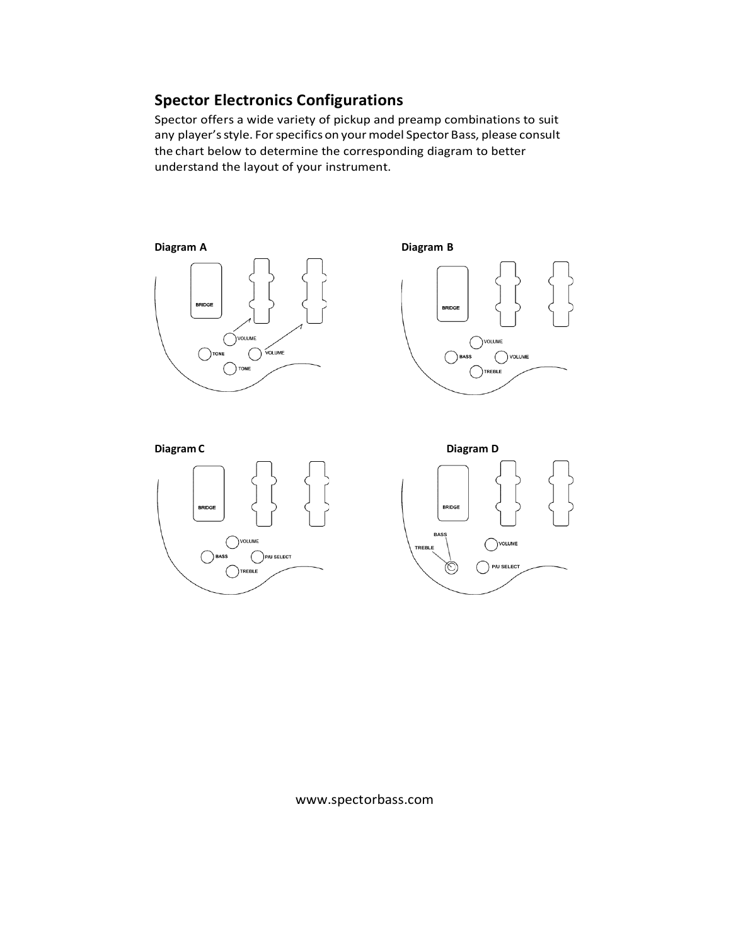# **Spector Electronics Configurations**

Spector offers a wide variety of pickup and preamp combinations to suit any player's style. For specifics on your model Spector Bass, please consult the chart below to determine the corresponding diagram to better understand the layout of your instrument.

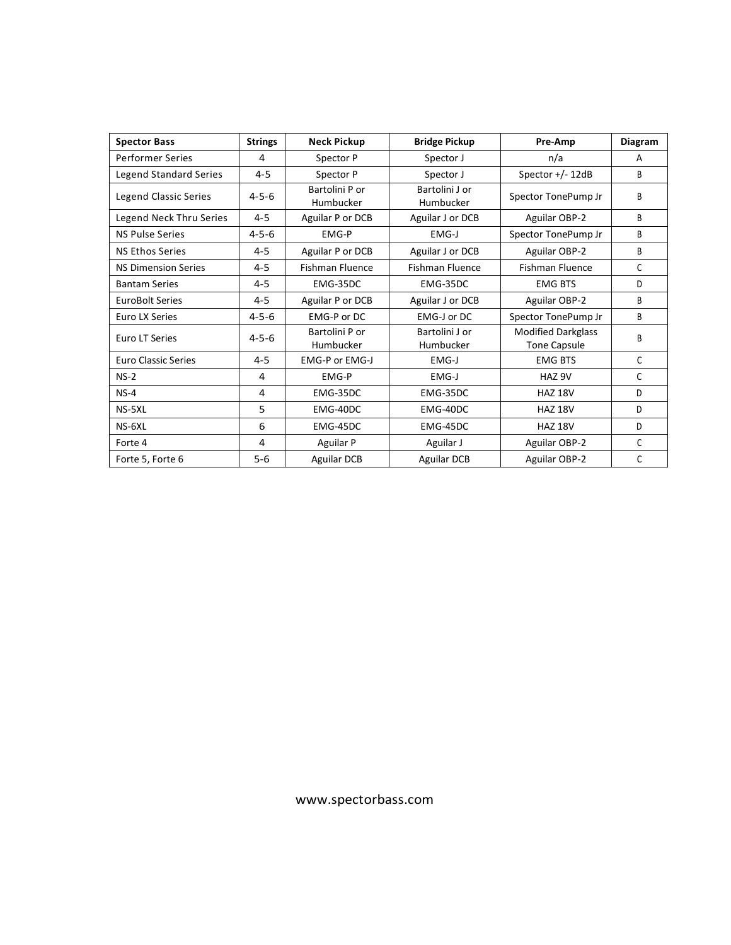| <b>Spector Bass</b>           | <b>Strings</b> | <b>Neck Pickup</b>          | <b>Bridge Pickup</b>        | Pre-Amp                                          | <b>Diagram</b> |
|-------------------------------|----------------|-----------------------------|-----------------------------|--------------------------------------------------|----------------|
| <b>Performer Series</b>       | 4              | Spector P                   | Spector J                   | n/a                                              | A              |
| <b>Legend Standard Series</b> | $4 - 5$        | Spector P                   | Spector J                   | Spector +/- 12dB                                 | B              |
| Legend Classic Series         | $4 - 5 - 6$    | Bartolini P or<br>Humbucker | Bartolini J or<br>Humbucker | Spector TonePump Jr                              | B              |
| Legend Neck Thru Series       | $4 - 5$        | Aguilar P or DCB            | Aguilar J or DCB            | Aguilar OBP-2                                    | B              |
| <b>NS Pulse Series</b>        | $4 - 5 - 6$    | EMG-P                       | EMG-J                       | Spector TonePump Jr                              | B              |
| <b>NS Ethos Series</b>        | $4 - 5$        | Aguilar P or DCB            | Aguilar J or DCB            | Aguilar OBP-2                                    | B              |
| <b>NS Dimension Series</b>    | $4 - 5$        | <b>Fishman Fluence</b>      | <b>Fishman Fluence</b>      | <b>Fishman Fluence</b>                           | C              |
| <b>Bantam Series</b>          | $4 - 5$        | EMG-35DC                    | EMG-35DC                    | <b>EMG BTS</b>                                   | D              |
| <b>EuroBolt Series</b>        | $4 - 5$        | Aguilar P or DCB            | Aguilar J or DCB            | Aguilar OBP-2                                    | B              |
| Euro LX Series                | $4 - 5 - 6$    | EMG-P or DC                 | EMG-J or DC                 | Spector TonePump Jr                              | B              |
| Euro LT Series                | $4 - 5 - 6$    | Bartolini P or<br>Humbucker | Bartolini J or<br>Humbucker | <b>Modified Darkglass</b><br><b>Tone Capsule</b> | B              |
| <b>Euro Classic Series</b>    | $4 - 5$        | EMG-P or EMG-J              | EMG-J                       | <b>EMG BTS</b>                                   | $\mathsf{C}$   |
| $NS-2$                        | 4              | EMG-P                       | EMG-J                       | HAZ 9V                                           | C              |
| $NS-4$                        | 4              | EMG-35DC                    | EMG-35DC                    | <b>HAZ 18V</b>                                   | D              |
| NS-5XL                        | 5              | EMG-40DC                    | EMG-40DC                    | <b>HAZ 18V</b>                                   | D              |
| NS-6XL                        | 6              | EMG-45DC                    | EMG-45DC                    | <b>HAZ 18V</b>                                   | D              |
| Forte 4                       | 4              | <b>Aguilar P</b>            | Aguilar J                   | Aguilar OBP-2                                    | C              |
| Forte 5, Forte 6              | $5-6$          | <b>Aguilar DCB</b>          | <b>Aguilar DCB</b>          | Aguilar OBP-2                                    | C              |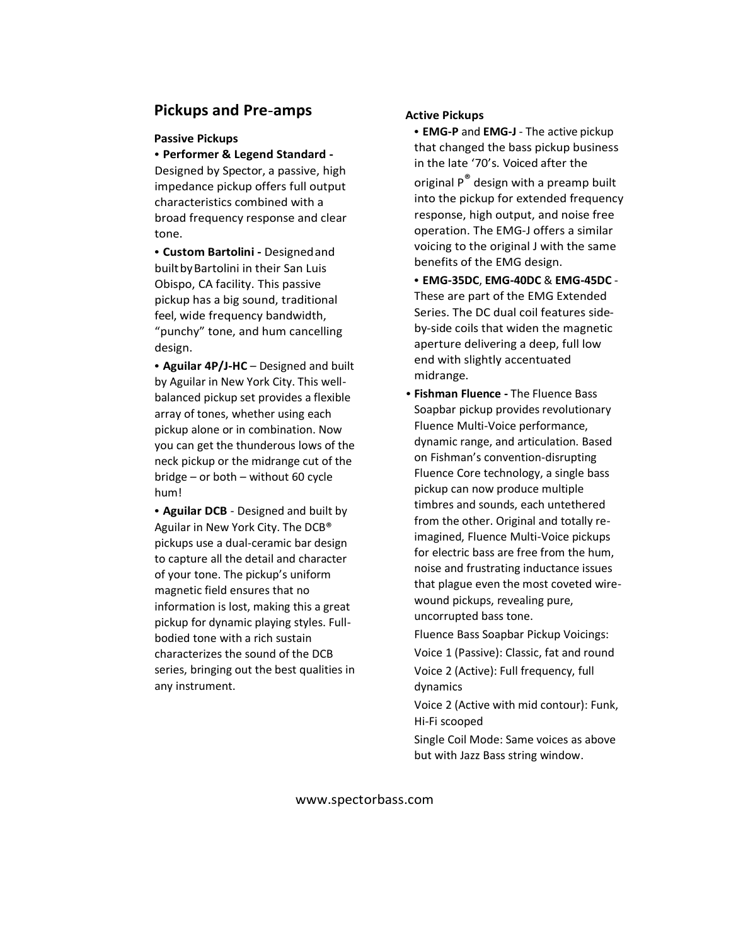## **Pickups and Pre-amps**

### **Passive Pickups**

**• Performer & Legend Standard -** Designed by Spector, a passive, high impedance pickup offers full output characteristics combined with a broad frequency response and clear tone.

**• Custom Bartolini -** Designedand builtbyBartolini in their San Luis Obispo, CA facility. This passive pickup has a big sound, traditional feel, wide frequency bandwidth, "punchy" tone, and hum cancelling design.

**• Aguilar 4P/J-HC** – Designed and built by Aguilar in New York City. This wellbalanced pickup set provides a flexible array of tones, whether using each pickup alone or in combination. Now you can get the thunderous lows of the neck pickup or the midrange cut of the bridge – or both – without 60 cycle hum!

**• Aguilar DCB** - Designed and built by Aguilar in New York City. The DCB® pickups use a dual-ceramic bar design to capture all the detail and character of your tone. The pickup's uniform magnetic field ensures that no information is lost, making this a great pickup for dynamic playing styles. Fullbodied tone with a rich sustain characterizes the sound of the DCB series, bringing out the best qualities in any instrument.

### **Active Pickups**

**• EMG-P** and **EMG-J** - The active pickup that changed the bass pickup business in the late '70's. Voiced after the

original P<sup>®</sup> design with a preamp built into the pickup for extended frequency response, high output, and noise free operation. The EMG-J offers a similar voicing to the original J with the same benefits of the EMG design.

**• EMG-35DC**, **EMG-40DC** & **EMG-45DC** - These are part of the EMG Extended Series. The DC dual coil features sideby-side coils that widen the magnetic aperture delivering a deep, full low end with slightly accentuated midrange.

**• Fishman Fluence -** The Fluence Bass Soapbar pickup provides revolutionary Fluence Multi-Voice performance, dynamic range, and articulation. Based on Fishman's convention-disrupting Fluence Core technology, a single bass pickup can now produce multiple timbres and sounds, each untethered from the other. Original and totally reimagined, Fluence Multi-Voice pickups for electric bass are free from the hum, noise and frustrating inductance issues that plague even the most coveted wirewound pickups, revealing pure, uncorrupted bass tone.

Fluence Bass Soapbar Pickup Voicings: Voice 1 (Passive): Classic, fat and round Voice 2 (Active): Full frequency, full dynamics

Voice 2 (Active with mid contour): Funk, Hi-Fi scooped

Single Coil Mode: Same voices as above but with Jazz Bass string window.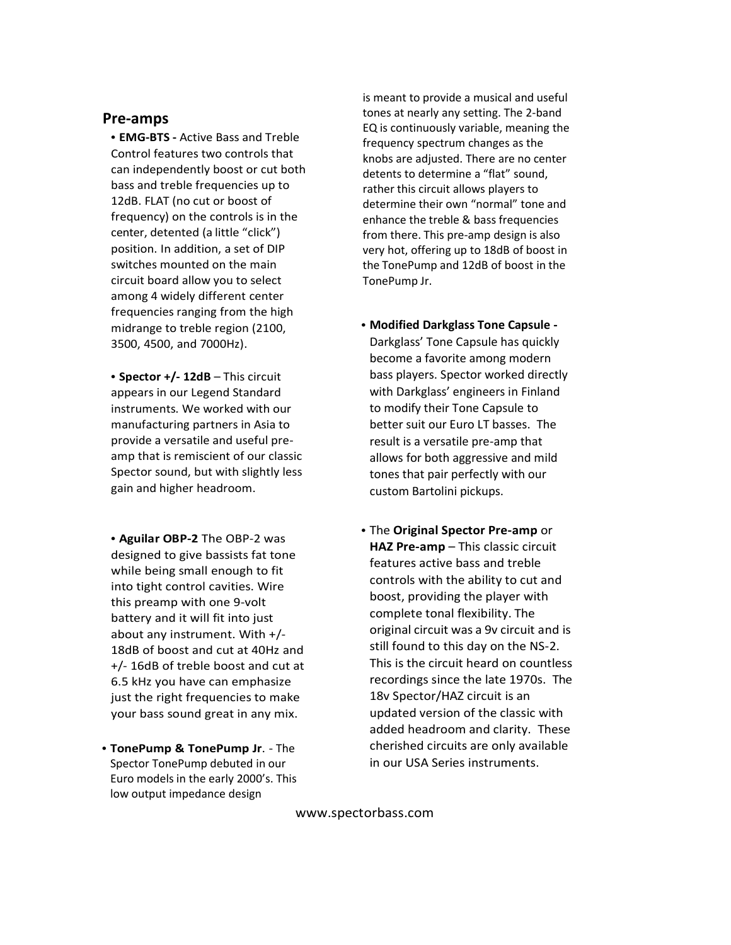## **Pre-amps**

**• EMG-BTS -** Active Bass and Treble Control features two controls that can independently boost or cut both bass and treble frequencies up to 12dB. FLAT (no cut or boost of frequency) on the controls is in the center, detented (a little "click") position. In addition, a set of DIP switches mounted on the main circuit board allow you to select among 4 widely different center frequencies ranging from the high midrange to treble region (2100, 3500, 4500, and 7000Hz).

**• Spector +/- 12dB** – This circuit appears in our Legend Standard instruments. We worked with our manufacturing partners in Asia to provide a versatile and useful preamp that is remiscient of our classic Spector sound, but with slightly less gain and higher headroom.

**• Aguilar OBP-2** The OBP-2 was designed to give bassists fat tone while being small enough to fit into tight control cavities. Wire this preamp with one 9-volt battery and it will fit into just about any instrument. With +/- 18dB of boost and cut at 40Hz and +/- 16dB of treble boost and cut at 6.5 kHz you have can emphasize just the right frequencies to make your bass sound great in any mix.

**• TonePump & TonePump Jr**. - The Spector TonePump debuted in our Euro models in the early 2000's. This low output impedance design

is meant to provide a musical and useful tones at nearly any setting. The 2-band EQ is continuously variable, meaning the frequency spectrum changes as the knobs are adjusted. There are no center detents to determine a "flat" sound, rather this circuit allows players to determine their own "normal" tone and enhance the treble & bass frequencies from there. This pre-amp design is also very hot, offering up to 18dB of boost in the TonePump and 12dB of boost in the TonePump Jr.

- **• Modified Darkglass Tone Capsule -** Darkglass' Tone Capsule has quickly become a favorite among modern bass players. Spector worked directly with Darkglass' engineers in Finland to modify their Tone Capsule to better suit our Euro LT basses. The result is a versatile pre-amp that allows for both aggressive and mild tones that pair perfectly with our custom Bartolini pickups.
- **•** The **Original Spector Pre-amp** or **HAZ Pre-amp** – This classic circuit features active bass and treble controls with the ability to cut and boost, providing the player with complete tonal flexibility. The original circuit was a 9v circuit and is still found to this day on the NS-2. This is the circuit heard on countless recordings since the late 1970s. The 18v Spector/HAZ circuit is an updated version of the classic with added headroom and clarity. These cherished circuits are only available in our USA Series instruments.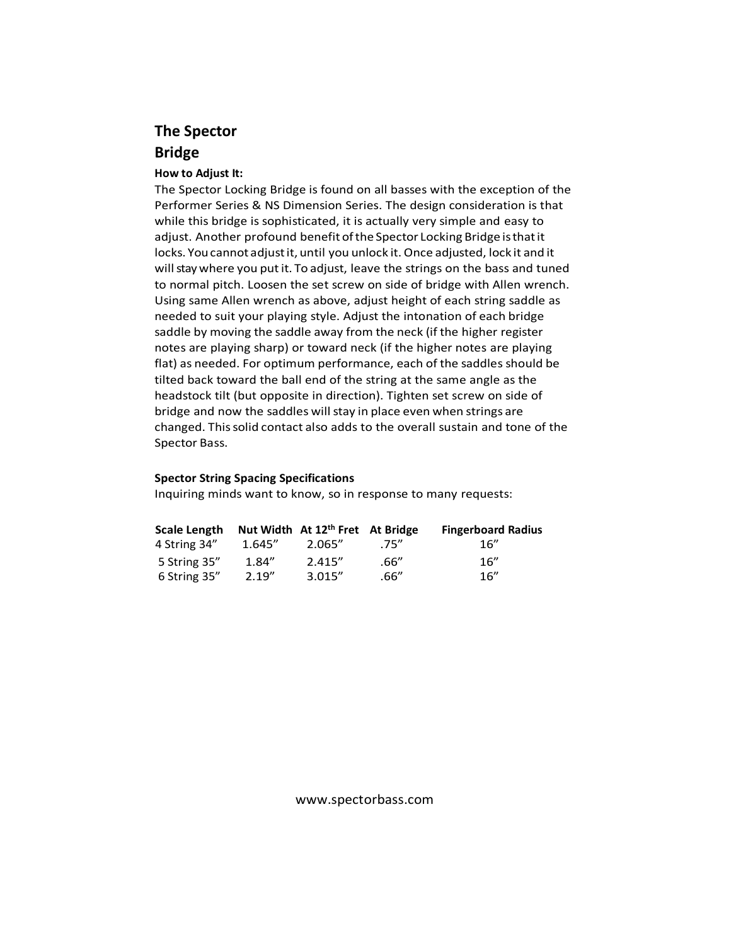# **The Spector Bridge**

### **How to Adjust It:**

The Spector Locking Bridge is found on all basses with the exception of the Performer Series & NS Dimension Series. The design consideration is that while this bridge is sophisticated, it is actually very simple and easy to adjust. Another profound benefit ofthe Spector Locking Bridge isthatit locks. Youcannot adjustit, until you unlock it. Once adjusted, lock it and it will stay where you put it. To adjust, leave the strings on the bass and tuned to normal pitch. Loosen the set screw on side of bridge with Allen wrench. Using same Allen wrench as above, adjust height of each string saddle as needed to suit your playing style. Adjust the intonation of each bridge saddle by moving the saddle away from the neck (if the higher register notes are playing sharp) or toward neck (if the higher notes are playing flat) as needed. For optimum performance, each of the saddles should be tilted back toward the ball end of the string at the same angle as the headstock tilt (but opposite in direction). Tighten set screw on side of bridge and now the saddles will stay in place even when strings are changed. Thissolid contact also adds to the overall sustain and tone of the Spector Bass.

### **Spector String Spacing Specifications**

Inquiring minds want to know, so in response to many requests:

| Scale Length |         | Nut Width At 12 <sup>th</sup> Fret At Bridge |       | <b>Fingerboard Radius</b> |
|--------------|---------|----------------------------------------------|-------|---------------------------|
| 4 String 34" | 1.645'' | 2.065"                                       | .75'' | 16"                       |
| 5 String 35" | 1.84''  | 2.415''                                      | .66'' | 16''                      |
| 6 String 35" | 2.19''  | 3.015''                                      | .66'' | 16''                      |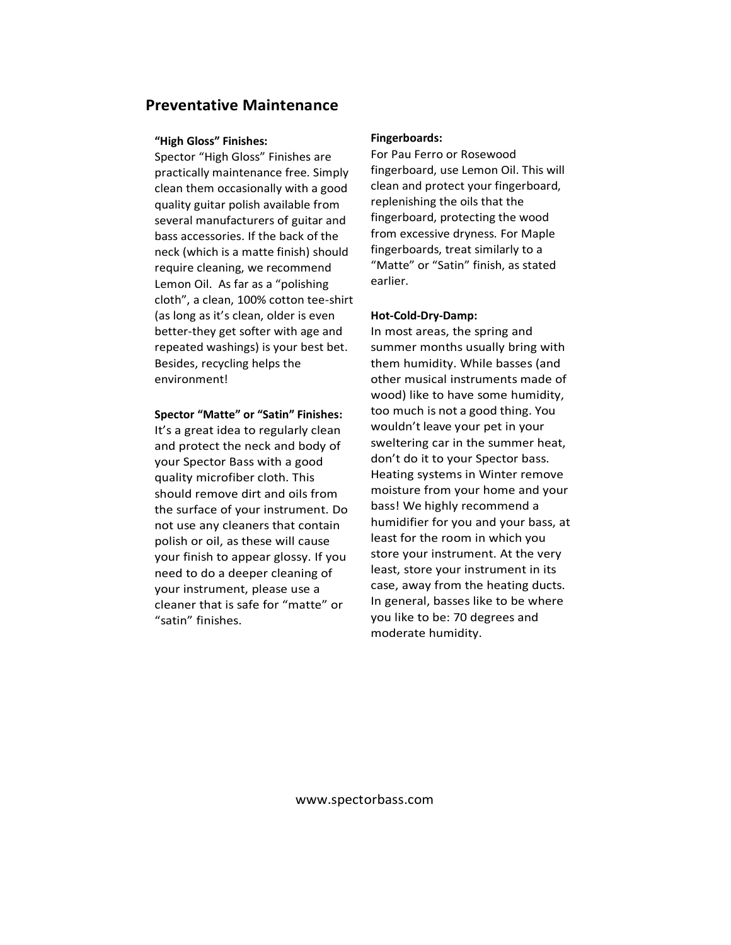## **Preventative Maintenance**

#### **"High Gloss" Finishes:**

Spector "High Gloss" Finishes are practically maintenance free. Simply clean them occasionally with a good quality guitar polish available from several manufacturers of guitar and bass accessories. If the back of the neck (which is a matte finish) should require cleaning, we recommend Lemon Oil. As far as a "polishing cloth", a clean, 100% cotton tee-shirt (as long as it's clean, older is even better-they get softer with age and repeated washings) is your best bet. Besides, recycling helps the environment!

### **Spector "Matte" or "Satin" Finishes:**

It's a great idea to regularly clean and protect the neck and body of your Spector Bass with a good quality microfiber cloth. This should remove dirt and oils from the surface of your instrument. Do not use any cleaners that contain polish or oil, as these will cause your finish to appear glossy. If you need to do a deeper cleaning of your instrument, please use a cleaner that is safe for "matte" or "satin" finishes.

#### **Fingerboards:**

For Pau Ferro or Rosewood fingerboard, use Lemon Oil. This will clean and protect your fingerboard, replenishing the oils that the fingerboard, protecting the wood from excessive dryness. For Maple fingerboards, treat similarly to a "Matte" or "Satin" finish, as stated earlier.

#### **Hot-Cold-Dry-Damp:**

In most areas, the spring and summer months usually bring with them humidity. While basses (and other musical instruments made of wood) like to have some humidity, too much is not a good thing. You wouldn't leave your pet in your sweltering car in the summer heat, don't do it to your Spector bass. Heating systems in Winter remove moisture from your home and your bass! We highly recommend a humidifier for you and your bass, at least for the room in which you store your instrument. At the very least, store your instrument in its case, away from the heating ducts. In general, basses like to be where you like to be: 70 degrees and moderate humidity.